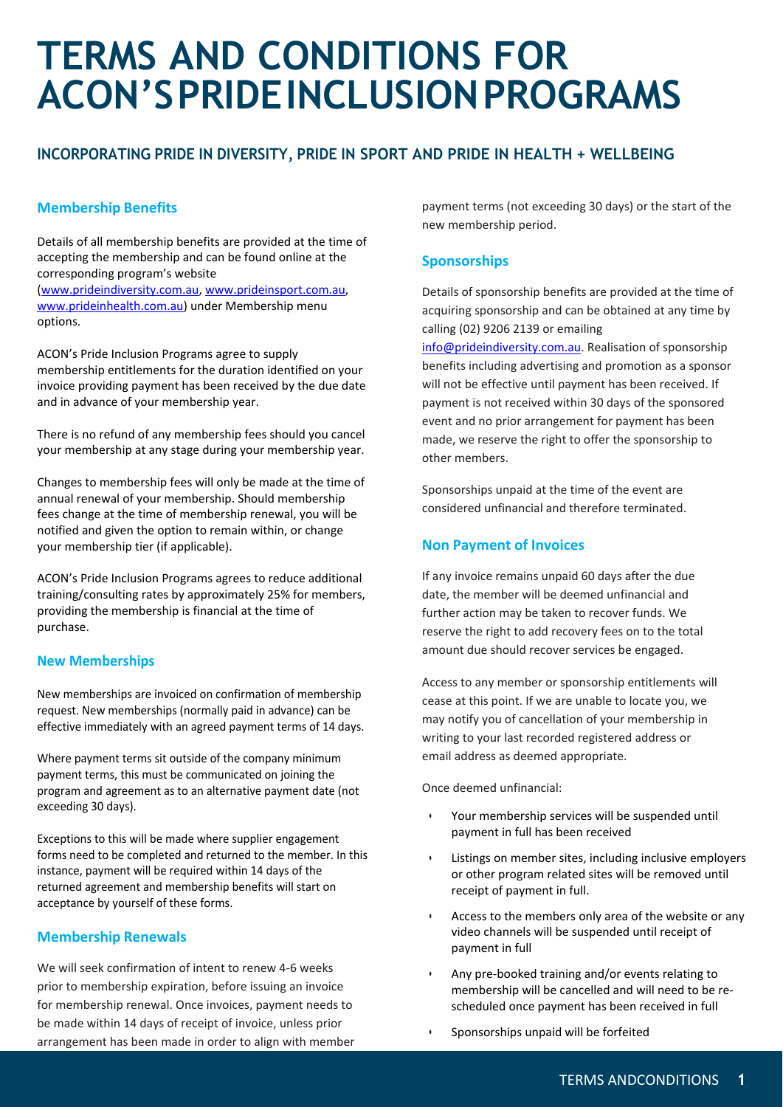# **TERMS AND CONDITIONS FOR ACON'SPRIDEINCLUSIONPROGRAMS**

# **INCORPORATING PRIDE IN DIVERSITY, PRIDE IN SPORT AND PRIDE IN HEALTH + WELLBEING**

## **Membership Benefits**

Details of all membership benefits are provided at the time of accepting the membership and can be found online at the corresponding program's website [\(www.prideindiversity.com.au,](http://www.prideindiversity.com.au/) [www.prideinsport.com.au,](http://www.prideinsport.com.au/) [www.prideinhealth.com.au\)](http://www.prideinhealth.com.au/) under Membership menu options.

ACON's Pride Inclusion Programs agree to supply membership entitlements for the duration identified on your invoice providing payment has been received by the due date and in advance of your membership year.

There is no refund of any membership fees should you cancel your membership at any stage during your membership year.

Changes to membership fees will only be made at the time of annual renewal of your membership. Should membership fees change at the time of membership renewal, you will be notified and given the option to remain within, or change your membership tier (if applicable).

ACON's Pride Inclusion Programs agrees to reduce additional training/consulting rates by approximately 25% for members, providing the membership is financial at the time of purchase.

#### **New Memberships**

New memberships are invoiced on confirmation of membership request. New memberships (normally paid in advance) can be effective immediately with an agreed payment terms of 14 days.

Where payment terms sit outside of the company minimum payment terms, this must be communicated on joining the program and agreement as to an alternative payment date (not exceeding 30 days).

Exceptions to this will be made where supplier engagement forms need to be completed and returned to the member. In this instance, payment will be required within 14 days of the returned agreement and membership benefits will start on acceptance by yourself of these forms.

## **Membership Renewals**

We will seek confirmation of intent to renew 4-6 weeks prior to membership expiration, before issuing an invoice for membership renewal. Once invoices, payment needs to be made within 14 days of receipt of invoice, unless prior arrangement has been made in order to align with member payment terms (not exceeding 30 days) or the start of the new membership period.

## **Sponsorships**

Details of sponsorship benefits are provided at the time of acquiring sponsorship and can be obtained at any time by calling (02) 9206 2139 or emailing

[info@prideindiversity.com.au.](mailto:info@prideindiversity.com.au) Realisation of sponsorship benefits including advertising and promotion as a sponsor will not be effective until payment has been received. If payment is not received within 30 days of the sponsored event and no prior arrangement for payment has been made, we reserve the right to offer the sponsorship to other members.

Sponsorships unpaid at the time of the event are considered unfinancial and therefore terminated.

## **Non Payment of Invoices**

If any invoice remains unpaid 60 days after the due date, the member will be deemed unfinancial and further action may be taken to recover funds. We reserve the right to add recovery fees on to the total amount due should recover services be engaged.

Access to any member or sponsorship entitlements will cease at this point. If we are unable to locate you, we may notify you of cancellation of your membership in writing to your last recorded registered address or email address as deemed appropriate.

Once deemed unfinancial:

- Your membership services will be suspended until payment in full has been received
- Listings on member sites, including inclusive employers or other program related sites will be removed until receipt of payment in full.
- Access to the members only area of the website or any video channels will be suspended until receipt of payment in full
- Any pre-booked training and/or events relating to membership will be cancelled and will need to be rescheduled once payment has been received in full
- Sponsorships unpaid will be forfeited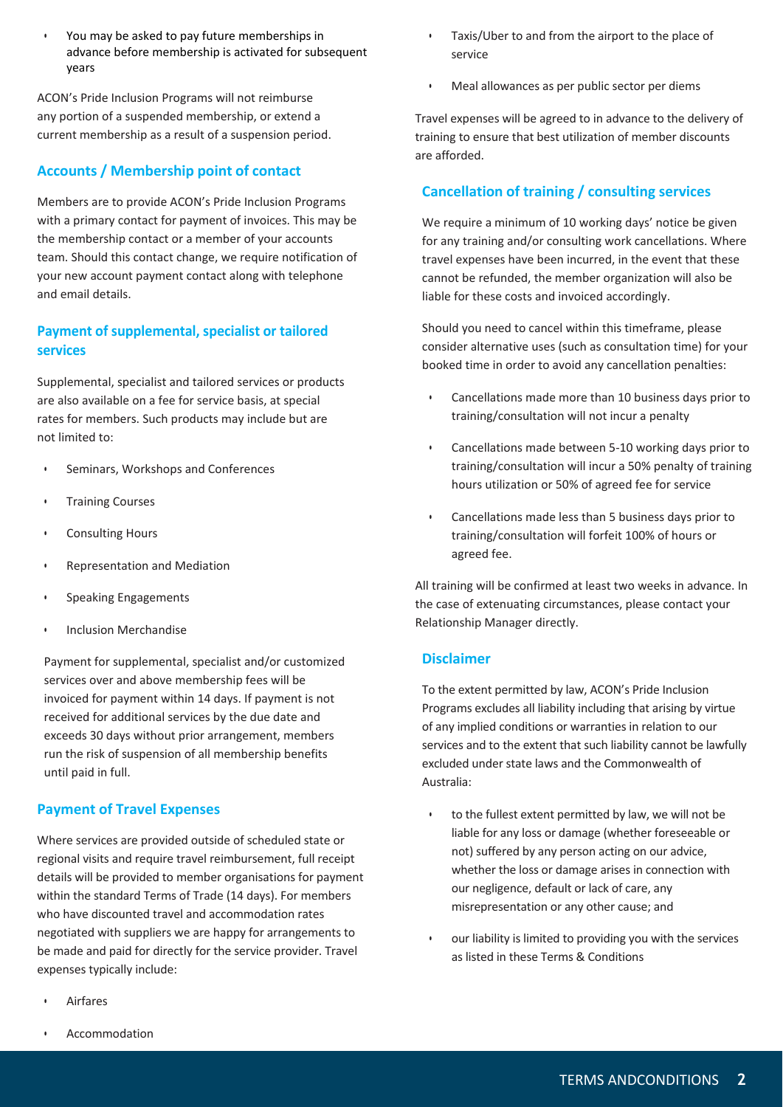• You may be asked to pay future memberships in advance before membership is activated for subsequent years

ACON's Pride Inclusion Programs will not reimburse any portion of a suspended membership, or extend a current membership as a result of a suspension period.

## **Accounts / Membership point of contact**

Members are to provide ACON's Pride Inclusion Programs with a primary contact for payment of invoices. This may be the membership contact or a member of your accounts team. Should this contact change, we require notification of your new account payment contact along with telephone and email details.

## **Payment of supplemental, specialist or tailored services**

Supplemental, specialist and tailored services or products are also available on a fee for service basis, at special rates for members. Such products may include but are not limited to:

- Seminars, Workshops and Conferences
- Training Courses
- Consulting Hours
- Representation and Mediation
- Speaking Engagements
- Inclusion Merchandise

Payment for supplemental, specialist and/or customized services over and above membership fees will be invoiced for payment within 14 days. If payment is not received for additional services by the due date and exceeds 30 days without prior arrangement, members run the risk of suspension of all membership benefits until paid in full.

## **Payment of Travel Expenses**

Where services are provided outside of scheduled state or regional visits and require travel reimbursement, full receipt details will be provided to member organisations for payment within the standard Terms of Trade (14 days). For members who have discounted travel and accommodation rates negotiated with suppliers we are happy for arrangements to be made and paid for directly for the service provider. Travel expenses typically include:

• Airfares

- Taxis/Uber to and from the airport to the place of service
- Meal allowances as per public sector per diems

Travel expenses will be agreed to in advance to the delivery of training to ensure that best utilization of member discounts are afforded.

# **Cancellation of training / consulting services**

We require a minimum of 10 working days' notice be given for any training and/or consulting work cancellations. Where travel expenses have been incurred, in the event that these cannot be refunded, the member organization will also be liable for these costs and invoiced accordingly.

Should you need to cancel within this timeframe, please consider alternative uses (such as consultation time) for your booked time in order to avoid any cancellation penalties:

- Cancellations made more than 10 business days prior to training/consultation will not incur a penalty
- Cancellations made between 5-10 working days prior to training/consultation will incur a 50% penalty of training hours utilization or 50% of agreed fee for service
- Cancellations made less than 5 business days prior to training/consultation will forfeit 100% of hours or agreed fee.

All training will be confirmed at least two weeks in advance. In the case of extenuating circumstances, please contact your Relationship Manager directly.

#### **Disclaimer**

To the extent permitted by law, ACON's Pride Inclusion Programs excludes all liability including that arising by virtue of any implied conditions or warranties in relation to our services and to the extent that such liability cannot be lawfully excluded under state laws and the Commonwealth of Australia:

- to the fullest extent permitted by law, we will not be liable for any loss or damage (whether foreseeable or not) suffered by any person acting on our advice, whether the loss or damage arises in connection with our negligence, default or lack of care, any misrepresentation or any other cause; and
- our liability is limited to providing you with the services as listed in these Terms & Conditions

**Accommodation**